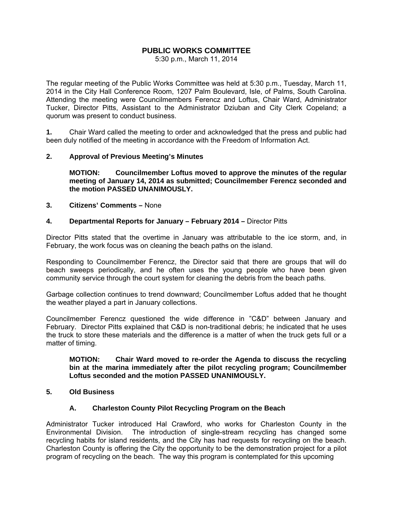# **PUBLIC WORKS COMMITTEE**

5:30 p.m., March 11, 2014

The regular meeting of the Public Works Committee was held at 5:30 p.m., Tuesday, March 11, 2014 in the City Hall Conference Room, 1207 Palm Boulevard, Isle, of Palms, South Carolina. Attending the meeting were Councilmembers Ferencz and Loftus, Chair Ward, Administrator Tucker, Director Pitts, Assistant to the Administrator Dziuban and City Clerk Copeland; a quorum was present to conduct business.

**1.** Chair Ward called the meeting to order and acknowledged that the press and public had been duly notified of the meeting in accordance with the Freedom of Information Act.

### **2. Approval of Previous Meeting's Minutes**

 **MOTION: Councilmember Loftus moved to approve the minutes of the regular meeting of January 14, 2014 as submitted; Councilmember Ferencz seconded and the motion PASSED UNANIMOUSLY.** 

#### **3. Citizens' Comments –** None

### **4. Departmental Reports for January – February 2014 –** Director Pitts

Director Pitts stated that the overtime in January was attributable to the ice storm, and, in February, the work focus was on cleaning the beach paths on the island.

Responding to Councilmember Ferencz, the Director said that there are groups that will do beach sweeps periodically, and he often uses the young people who have been given community service through the court system for cleaning the debris from the beach paths.

Garbage collection continues to trend downward; Councilmember Loftus added that he thought the weather played a part in January collections.

Councilmember Ferencz questioned the wide difference in "C&D" between January and February. Director Pitts explained that C&D is non-traditional debris; he indicated that he uses the truck to store these materials and the difference is a matter of when the truck gets full or a matter of timing.

#### **MOTION: Chair Ward moved to re-order the Agenda to discuss the recycling bin at the marina immediately after the pilot recycling program; Councilmember Loftus seconded and the motion PASSED UNANIMOUSLY.**

### **5. Old Business**

## **A. Charleston County Pilot Recycling Program on the Beach**

Administrator Tucker introduced Hal Crawford, who works for Charleston County in the Environmental Division. The introduction of single-stream recycling has changed some recycling habits for island residents, and the City has had requests for recycling on the beach. Charleston County is offering the City the opportunity to be the demonstration project for a pilot program of recycling on the beach. The way this program is contemplated for this upcoming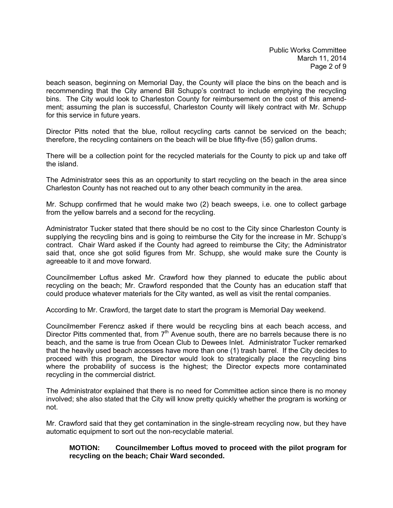beach season, beginning on Memorial Day, the County will place the bins on the beach and is recommending that the City amend Bill Schupp's contract to include emptying the recycling bins. The City would look to Charleston County for reimbursement on the cost of this amendment; assuming the plan is successful, Charleston County will likely contract with Mr. Schupp for this service in future years.

Director Pitts noted that the blue, rollout recycling carts cannot be serviced on the beach; therefore, the recycling containers on the beach will be blue fifty-five (55) gallon drums.

There will be a collection point for the recycled materials for the County to pick up and take off the island.

The Administrator sees this as an opportunity to start recycling on the beach in the area since Charleston County has not reached out to any other beach community in the area.

Mr. Schupp confirmed that he would make two (2) beach sweeps, i.e. one to collect garbage from the yellow barrels and a second for the recycling.

Administrator Tucker stated that there should be no cost to the City since Charleston County is supplying the recycling bins and is going to reimburse the City for the increase in Mr. Schupp's contract. Chair Ward asked if the County had agreed to reimburse the City; the Administrator said that, once she got solid figures from Mr. Schupp, she would make sure the County is agreeable to it and move forward.

Councilmember Loftus asked Mr. Crawford how they planned to educate the public about recycling on the beach; Mr. Crawford responded that the County has an education staff that could produce whatever materials for the City wanted, as well as visit the rental companies.

According to Mr. Crawford, the target date to start the program is Memorial Day weekend.

Councilmember Ferencz asked if there would be recycling bins at each beach access, and Director Pitts commented that, from  $7<sup>th</sup>$  Avenue south, there are no barrels because there is no beach, and the same is true from Ocean Club to Dewees Inlet. Administrator Tucker remarked that the heavily used beach accesses have more than one (1) trash barrel. If the City decides to proceed with this program, the Director would look to strategically place the recycling bins where the probability of success is the highest; the Director expects more contaminated recycling in the commercial district.

The Administrator explained that there is no need for Committee action since there is no money involved; she also stated that the City will know pretty quickly whether the program is working or not.

Mr. Crawford said that they get contamination in the single-stream recycling now, but they have automatic equipment to sort out the non-recyclable material.

### **MOTION: Councilmember Loftus moved to proceed with the pilot program for recycling on the beach; Chair Ward seconded.**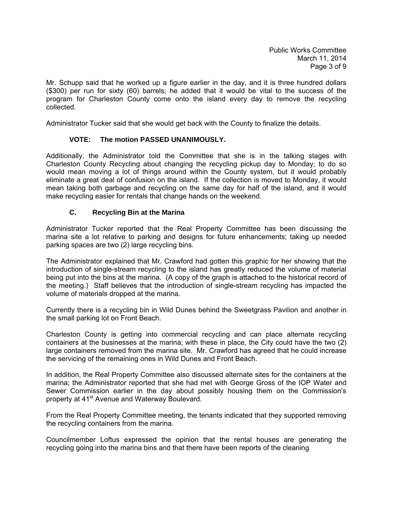Mr. Schupp said that he worked up a figure earlier in the day, and it is three hundred dollars (\$300) per run for sixty (60) barrels; he added that it would be vital to the success of the program for Charleston County come onto the island every day to remove the recycling collected.

Administrator Tucker said that she would get back with the County to finalize the details.

# **VOTE: The motion PASSED UNANIMOUSLY.**

Additionally, the Administrator told the Committee that she is in the talking stages with Charleston County Recycling about changing the recycling pickup day to Monday; to do so would mean moving a lot of things around within the County system, but it would probably eliminate a great deal of confusion on the island. If the collection is moved to Monday, it would mean taking both garbage and recycling on the same day for half of the island, and it would make recycling easier for rentals that change hands on the weekend.

## **C. Recycling Bin at the Marina**

Administrator Tucker reported that the Real Property Committee has been discussing the marina site a lot relative to parking and designs for future enhancements; taking up needed parking spaces are two (2) large recycling bins.

The Administrator explained that Mr. Crawford had gotten this graphic for her showing that the introduction of single-stream recycling to the island has greatly reduced the volume of material being put into the bins at the marina. (A copy of the graph is attached to the historical record of the meeting.) Staff believes that the introduction of single-stream recycling has impacted the volume of materials dropped at the marina.

Currently there is a recycling bin in Wild Dunes behind the Sweetgrass Pavilion and another in the small parking lot on Front Beach.

Charleston County is getting into commercial recycling and can place alternate recycling containers at the businesses at the marina; with these in place, the City could have the two (2) large containers removed from the marina site. Mr. Crawford has agreed that he could increase the servicing of the remaining ones in Wild Dunes and Front Beach.

In addition, the Real Property Committee also discussed alternate sites for the containers at the marina; the Administrator reported that she had met with George Gross of the IOP Water and Sewer Commission earlier in the day about possibly housing them on the Commission's property at 41<sup>st</sup> Avenue and Waterway Boulevard.

From the Real Property Committee meeting, the tenants indicated that they supported removing the recycling containers from the marina.

Councilmember Loftus expressed the opinion that the rental houses are generating the recycling going into the marina bins and that there have been reports of the cleaning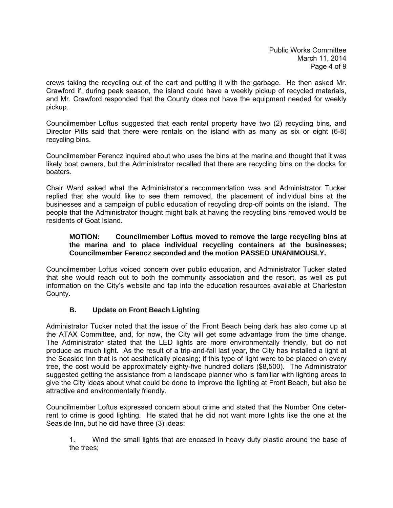crews taking the recycling out of the cart and putting it with the garbage. He then asked Mr. Crawford if, during peak season, the island could have a weekly pickup of recycled materials, and Mr. Crawford responded that the County does not have the equipment needed for weekly pickup.

Councilmember Loftus suggested that each rental property have two (2) recycling bins, and Director Pitts said that there were rentals on the island with as many as six or eight (6-8) recycling bins.

Councilmember Ferencz inquired about who uses the bins at the marina and thought that it was likely boat owners, but the Administrator recalled that there are recycling bins on the docks for boaters.

Chair Ward asked what the Administrator's recommendation was and Administrator Tucker replied that she would like to see them removed, the placement of individual bins at the businesses and a campaign of public education of recycling drop-off points on the island. The people that the Administrator thought might balk at having the recycling bins removed would be residents of Goat Island.

## **MOTION: Councilmember Loftus moved to remove the large recycling bins at the marina and to place individual recycling containers at the businesses; Councilmember Ferencz seconded and the motion PASSED UNANIMOUSLY.**

Councilmember Loftus voiced concern over public education, and Administrator Tucker stated that she would reach out to both the community association and the resort, as well as put information on the City's website and tap into the education resources available at Charleston County.

# **B. Update on Front Beach Lighting**

Administrator Tucker noted that the issue of the Front Beach being dark has also come up at the ATAX Committee, and, for now, the City will get some advantage from the time change. The Administrator stated that the LED lights are more environmentally friendly, but do not produce as much light. As the result of a trip-and-fall last year, the City has installed a light at the Seaside Inn that is not aesthetically pleasing; if this type of light were to be placed on every tree, the cost would be approximately eighty-five hundred dollars (\$8,500). The Administrator suggested getting the assistance from a landscape planner who is familiar with lighting areas to give the City ideas about what could be done to improve the lighting at Front Beach, but also be attractive and environmentally friendly.

Councilmember Loftus expressed concern about crime and stated that the Number One deterrent to crime is good lighting. He stated that he did not want more lights like the one at the Seaside Inn, but he did have three (3) ideas:

 1. Wind the small lights that are encased in heavy duty plastic around the base of the trees;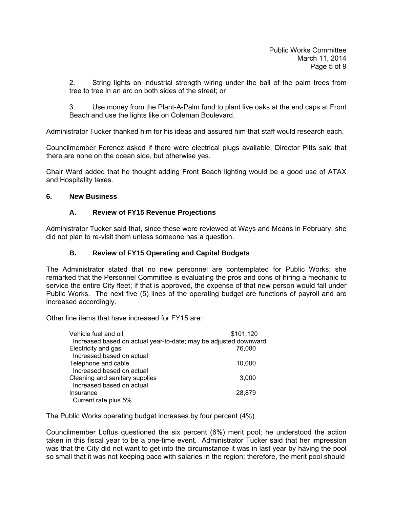2. String lights on industrial strength wiring under the ball of the palm trees from tree to tree in an arc on both sides of the street; or

 3. Use money from the Plant-A-Palm fund to plant live oaks at the end caps at Front Beach and use the lights like on Coleman Boulevard.

Administrator Tucker thanked him for his ideas and assured him that staff would research each.

Councilmember Ferencz asked if there were electrical plugs available; Director Pitts said that there are none on the ocean side, but otherwise yes.

Chair Ward added that he thought adding Front Beach lighting would be a good use of ATAX and Hospitality taxes.

## **6. New Business**

## **A. Review of FY15 Revenue Projections**

Administrator Tucker said that, since these were reviewed at Ways and Means in February, she did not plan to re-visit them unless someone has a question.

### **B. Review of FY15 Operating and Capital Budgets**

The Administrator stated that no new personnel are contemplated for Public Works; she remarked that the Personnel Committee is evaluating the pros and cons of hiring a mechanic to service the entire City fleet; if that is approved, the expense of that new person would fall under Public Works. The next five (5) lines of the operating budget are functions of payroll and are increased accordingly.

Other line items that have increased for FY15 are:

| Vehicle fuel and oil                                             | \$101,120 |
|------------------------------------------------------------------|-----------|
| Increased based on actual year-to-date; may be adjusted downward |           |
| Electricity and gas                                              | 76,000    |
| Increased based on actual                                        |           |
| Telephone and cable                                              | 10.000    |
| Increased based on actual                                        |           |
| Cleaning and sanitary supplies                                   | 3,000     |
| Increased based on actual                                        |           |
| Insurance                                                        | 28,879    |
| Current rate plus 5%                                             |           |

The Public Works operating budget increases by four percent (4%)

Councilmember Loftus questioned the six percent (6%) merit pool; he understood the action taken in this fiscal year to be a one-time event. Administrator Tucker said that her impression was that the City did not want to get into the circumstance it was in last year by having the pool so small that it was not keeping pace with salaries in the region; therefore, the merit pool should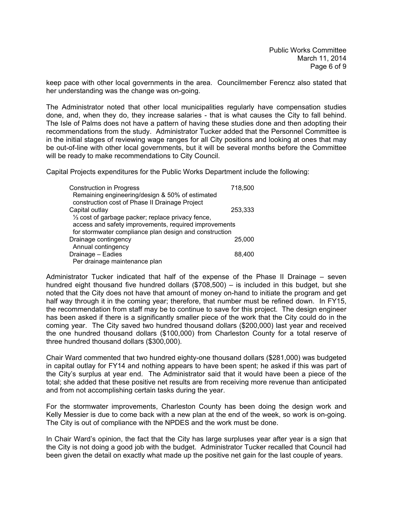keep pace with other local governments in the area. Councilmember Ferencz also stated that her understanding was the change was on-going.

The Administrator noted that other local municipalities regularly have compensation studies done, and, when they do, they increase salaries - that is what causes the City to fall behind. The Isle of Palms does not have a pattern of having these studies done and then adopting their recommendations from the study. Administrator Tucker added that the Personnel Committee is in the initial stages of reviewing wage ranges for all City positions and looking at ones that may be out-of-line with other local governments, but it will be several months before the Committee will be ready to make recommendations to City Council.

Capital Projects expenditures for the Public Works Department include the following:

| <b>Construction in Progress</b>                        | 718,500 |
|--------------------------------------------------------|---------|
| Remaining engineering/design & 50% of estimated        |         |
| construction cost of Phase II Drainage Project         |         |
| Capital outlay                                         | 253,333 |
| 1/3 cost of garbage packer; replace privacy fence,     |         |
| access and safety improvements, required improvements  |         |
| for stormwater compliance plan design and construction |         |
| Drainage contingency                                   | 25,000  |
| Annual contingency                                     |         |
| Drainage - Eadies                                      | 88,400  |
| Per drainage maintenance plan                          |         |

Administrator Tucker indicated that half of the expense of the Phase II Drainage – seven hundred eight thousand five hundred dollars (\$708,500) – is included in this budget, but she noted that the City does not have that amount of money on-hand to initiate the program and get half way through it in the coming year; therefore, that number must be refined down. In FY15, the recommendation from staff may be to continue to save for this project. The design engineer has been asked if there is a significantly smaller piece of the work that the City could do in the coming year. The City saved two hundred thousand dollars (\$200,000) last year and received the one hundred thousand dollars (\$100,000) from Charleston County for a total reserve of three hundred thousand dollars (\$300,000).

Chair Ward commented that two hundred eighty-one thousand dollars (\$281,000) was budgeted in capital outlay for FY14 and nothing appears to have been spent; he asked if this was part of the City's surplus at year end. The Administrator said that it would have been a piece of the total; she added that these positive net results are from receiving more revenue than anticipated and from not accomplishing certain tasks during the year.

For the stormwater improvements, Charleston County has been doing the design work and Kelly Messier is due to come back with a new plan at the end of the week, so work is on-going. The City is out of compliance with the NPDES and the work must be done.

In Chair Ward's opinion, the fact that the City has large surpluses year after year is a sign that the City is not doing a good job with the budget. Administrator Tucker recalled that Council had been given the detail on exactly what made up the positive net gain for the last couple of years.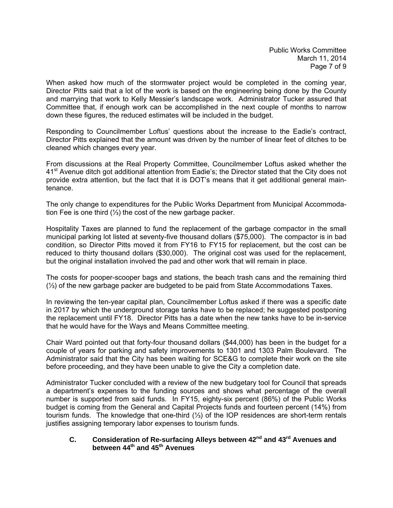When asked how much of the stormwater project would be completed in the coming year, Director Pitts said that a lot of the work is based on the engineering being done by the County and marrying that work to Kelly Messier's landscape work. Administrator Tucker assured that Committee that, if enough work can be accomplished in the next couple of months to narrow down these figures, the reduced estimates will be included in the budget.

Responding to Councilmember Loftus' questions about the increase to the Eadie's contract, Director Pitts explained that the amount was driven by the number of linear feet of ditches to be cleaned which changes every year.

From discussions at the Real Property Committee, Councilmember Loftus asked whether the 41<sup>st</sup> Avenue ditch got additional attention from Eadie's; the Director stated that the City does not provide extra attention, but the fact that it is DOT's means that it get additional general maintenance.

The only change to expenditures for the Public Works Department from Municipal Accommodation Fee is one third (⅓) the cost of the new garbage packer.

Hospitality Taxes are planned to fund the replacement of the garbage compactor in the small municipal parking lot listed at seventy-five thousand dollars (\$75,000). The compactor is in bad condition, so Director Pitts moved it from FY16 to FY15 for replacement, but the cost can be reduced to thirty thousand dollars (\$30,000). The original cost was used for the replacement, but the original installation involved the pad and other work that will remain in place.

The costs for pooper-scooper bags and stations, the beach trash cans and the remaining third (⅓) of the new garbage packer are budgeted to be paid from State Accommodations Taxes.

In reviewing the ten-year capital plan, Councilmember Loftus asked if there was a specific date in 2017 by which the underground storage tanks have to be replaced; he suggested postponing the replacement until FY18. Director Pitts has a date when the new tanks have to be in-service that he would have for the Ways and Means Committee meeting.

Chair Ward pointed out that forty-four thousand dollars (\$44,000) has been in the budget for a couple of years for parking and safety improvements to 1301 and 1303 Palm Boulevard. The Administrator said that the City has been waiting for SCE&G to complete their work on the site before proceeding, and they have been unable to give the City a completion date.

Administrator Tucker concluded with a review of the new budgetary tool for Council that spreads a department's expenses to the funding sources and shows what percentage of the overall number is supported from said funds. In FY15, eighty-six percent (86%) of the Public Works budget is coming from the General and Capital Projects funds and fourteen percent (14%) from tourism funds. The knowledge that one-third (⅓) of the IOP residences are short-term rentals justifies assigning temporary labor expenses to tourism funds.

### **C. Consideration of Re-surfacing Alleys between 42nd and 43rd Avenues and between 44th and 45th Avenues**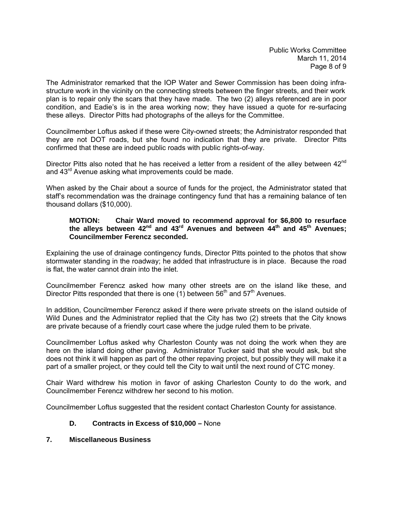The Administrator remarked that the IOP Water and Sewer Commission has been doing infrastructure work in the vicinity on the connecting streets between the finger streets, and their work plan is to repair only the scars that they have made. The two (2) alleys referenced are in poor condition, and Eadie's is in the area working now; they have issued a quote for re-surfacing these alleys. Director Pitts had photographs of the alleys for the Committee.

Councilmember Loftus asked if these were City-owned streets; the Administrator responded that they are not DOT roads, but she found no indication that they are private. Director Pitts confirmed that these are indeed public roads with public rights-of-way.

Director Pitts also noted that he has received a letter from a resident of the alley between 42<sup>nd</sup> and  $43<sup>rd</sup>$  Avenue asking what improvements could be made.

When asked by the Chair about a source of funds for the project, the Administrator stated that staff's recommendation was the drainage contingency fund that has a remaining balance of ten thousand dollars (\$10,000).

### **MOTION: Chair Ward moved to recommend approval for \$6,800 to resurface the alleys between 42nd and 43rd Avenues and between 44th and 45th Avenues; Councilmember Ferencz seconded.**

Explaining the use of drainage contingency funds, Director Pitts pointed to the photos that show stormwater standing in the roadway; he added that infrastructure is in place. Because the road is flat, the water cannot drain into the inlet.

Councilmember Ferencz asked how many other streets are on the island like these, and Director Pitts responded that there is one (1) between  $56<sup>th</sup>$  and  $57<sup>th</sup>$  Avenues.

In addition, Councilmember Ferencz asked if there were private streets on the island outside of Wild Dunes and the Administrator replied that the City has two (2) streets that the City knows are private because of a friendly court case where the judge ruled them to be private.

Councilmember Loftus asked why Charleston County was not doing the work when they are here on the island doing other paving. Administrator Tucker said that she would ask, but she does not think it will happen as part of the other repaving project, but possibly they will make it a part of a smaller project, or they could tell the City to wait until the next round of CTC money.

Chair Ward withdrew his motion in favor of asking Charleston County to do the work, and Councilmember Ferencz withdrew her second to his motion.

Councilmember Loftus suggested that the resident contact Charleston County for assistance.

## **D. Contracts in Excess of \$10,000 –** None

## **7. Miscellaneous Business**